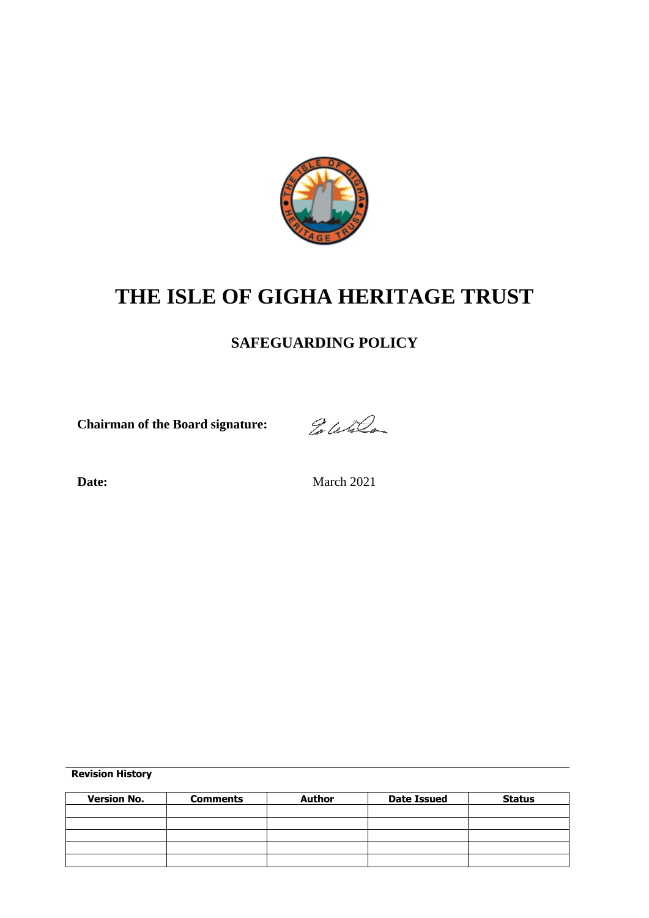

# **THE ISLE OF GIGHA HERITAGE TRUST**

## **SAFEGUARDING POLICY**

**Chairman of the Board signature:**

Eletter

Date: March 2021

**Revision History**

| <b>Version No.</b> | <b>Comments</b> | <b>Author</b> | <b>Date Issued</b> | <b>Status</b> |
|--------------------|-----------------|---------------|--------------------|---------------|
|                    |                 |               |                    |               |
|                    |                 |               |                    |               |
|                    |                 |               |                    |               |
|                    |                 |               |                    |               |
|                    |                 |               |                    |               |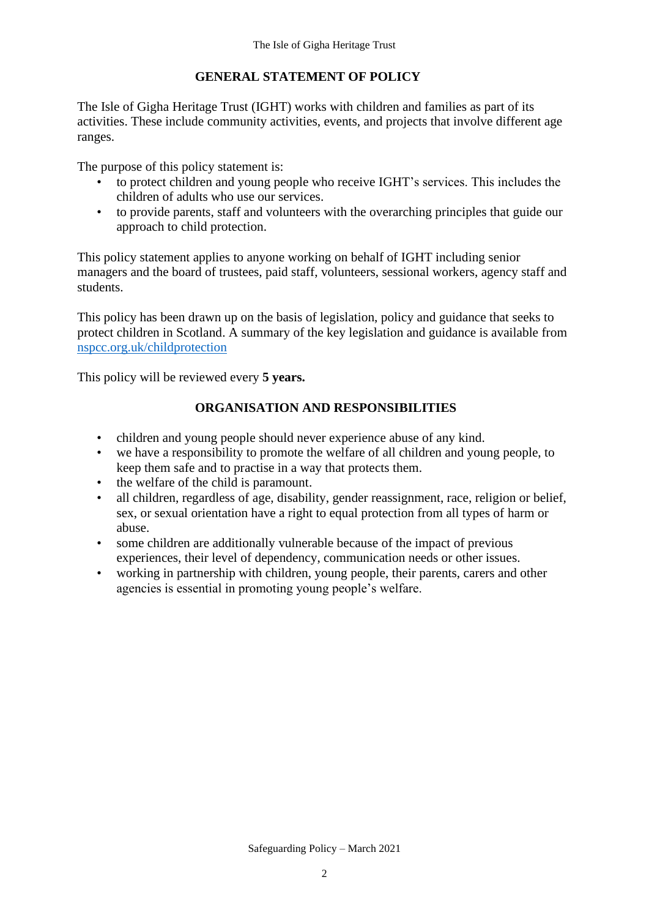#### **GENERAL STATEMENT OF POLICY**

The Isle of Gigha Heritage Trust (IGHT) works with children and families as part of its activities. These include community activities, events, and projects that involve different age ranges.

The purpose of this policy statement is:

- to protect children and young people who receive IGHT's services. This includes the children of adults who use our services.
- to provide parents, staff and volunteers with the overarching principles that guide our approach to child protection.

This policy statement applies to anyone working on behalf of IGHT including senior managers and the board of trustees, paid staff, volunteers, sessional workers, agency staff and students.

This policy has been drawn up on the basis of legislation, policy and guidance that seeks to protect children in Scotland. A summary of the key legislation and guidance is available from [nspcc.org.uk/childprotection](https://learning.nspcc.org.uk/child-protection-system) 

This policy will be reviewed every **5 years.**

#### **ORGANISATION AND RESPONSIBILITIES**

- children and young people should never experience abuse of any kind.
- we have a responsibility to promote the welfare of all children and young people, to keep them safe and to practise in a way that protects them.
- the welfare of the child is paramount.
- all children, regardless of age, disability, gender reassignment, race, religion or belief, sex, or sexual orientation have a right to equal protection from all types of harm or abuse.
- some children are additionally vulnerable because of the impact of previous experiences, their level of dependency, communication needs or other issues.
- working in partnership with children, young people, their parents, carers and other agencies is essential in promoting young people's welfare.